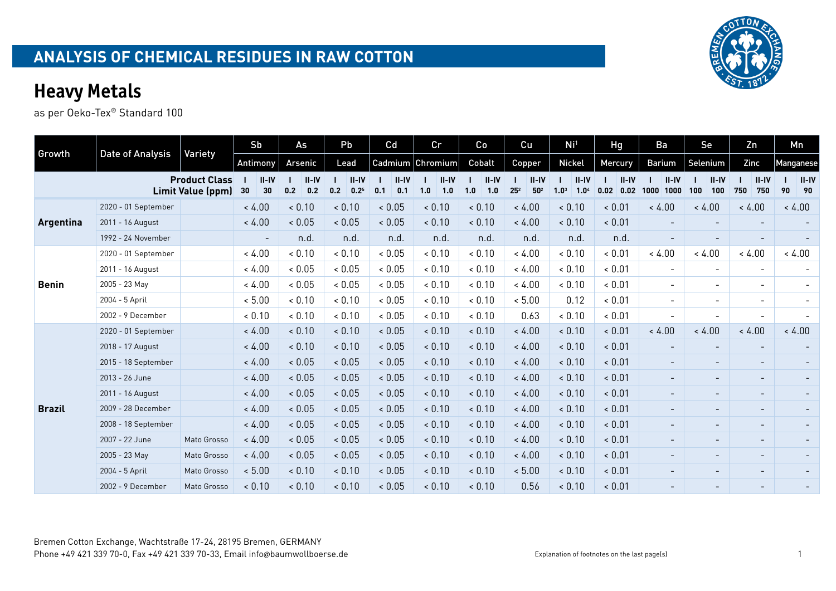|               |                         |                                           | Sb                       | As                      | Pb                            | Cd                      | cr                      | Co                      | Cu                                     | Ni <sup>1</sup>                                 | Hg                         | Ba                       | Se                       | Zn                       | Mn                    |
|---------------|-------------------------|-------------------------------------------|--------------------------|-------------------------|-------------------------------|-------------------------|-------------------------|-------------------------|----------------------------------------|-------------------------------------------------|----------------------------|--------------------------|--------------------------|--------------------------|-----------------------|
| Growth        | <b>Date of Analysis</b> | Variety                                   | Antimony                 | Arsenic                 | Lead                          |                         | Cadmium Chromium        | Cobalt                  | Copper                                 | <b>Nickel</b>                                   | Mercury                    | Barium                   | Selenium                 | Zinc                     | Manganese             |
|               |                         | <b>Product Class</b><br>Limit Value (ppm) | $II-IV$<br>30<br>30      | $II - IV$<br>0.2<br>0.2 | $II - IV$<br>0.2<br>$0.2^{5}$ | $II - IV$<br>0.1<br>0.1 | $II - IV$<br>1.0<br>1.0 | $II - IV$<br>1.0<br>1.0 | $II-IV$<br>$25^{2}$<br>50 <sup>2</sup> | $II-IV$<br>1.0 <sup>3</sup><br>1.0 <sup>4</sup> | $II - IV$<br>$0.02 \ 0.02$ | $II-IV$<br>1000<br>1000  | $II-IV$<br>100<br>100    | $II-IV$<br>750<br>750    | $ $ II-IV<br>90<br>90 |
|               | 2020 - 01 September     |                                           | < 4.00                   | < 0.10                  | < 0.10                        | < 0.05                  | < 0.10                  | < 0.10                  | < 4.00                                 | & 0.10                                          | < 0.01                     | < 4.00                   | < 4.00                   | < 4.00                   | < 4.00                |
| Argentina     | 2011 - 16 August        |                                           | < 4.00                   | < 0.05                  | < 0.05                        | ${}< 0.05$              | < 0.10                  | < 0.10                  | < 4.00                                 | < 0.10                                          | < 0.01                     |                          | $\overline{\phantom{a}}$ |                          |                       |
|               | 1992 - 24 November      |                                           | $\overline{\phantom{a}}$ | n.d.                    | n.d.                          | n.d.                    | n.d.                    | n.d.                    | n.d.                                   | n.d.                                            | n.d.                       | $\overline{\phantom{a}}$ | $\overline{\phantom{a}}$ |                          |                       |
|               | 2020 - 01 September     |                                           | < 4.00                   | < 0.10                  | < 0.10                        | < 0.05                  | & 0.10                  | < 0.10                  | < 4.00                                 | & 0.10                                          | ~ 0.01                     | < 4.00                   | < 4.00                   | < 4.00                   | < 4.00                |
|               | 2011 - 16 August        |                                           | < 4.00                   | < 0.05                  | & 0.05                        | & 0.05                  | < 0.10                  | & 0.10                  | < 4.00                                 | < 0.10                                          | & 0.01                     | $\overline{\phantom{0}}$ | $\sim$                   | $\overline{\phantom{a}}$ |                       |
| <b>Benin</b>  | 2005 - 23 May           |                                           | < 4.00                   | < 0.05                  | ${}< 0.05$                    | ${}< 0.05$              | & 0.10                  | < 0.10                  | < 4.00                                 | & 0.10                                          | & 0.01                     | $\sim$                   | $\sim$                   | $\overline{\phantom{a}}$ |                       |
|               | 2004 - 5 April          |                                           | < 5.00                   | < 0.10                  | < 0.10                        | ${}< 0.05$              | & 0.10                  | < 0.10                  | < 5.00                                 | 0.12                                            | < 0.01                     | $\overline{\phantom{0}}$ | $\overline{\phantom{0}}$ | $\overline{\phantom{a}}$ |                       |
|               | 2002 - 9 December       |                                           | & 0.10                   | < 0.10                  | & 0.10                        | ${}< 0.05$              | < 0.10                  | < 0.10                  | 0.63                                   | & 0.10                                          | & 0.01                     | $\blacksquare$           | $\overline{\phantom{a}}$ | $\overline{\phantom{a}}$ |                       |
|               | 2020 - 01 September     |                                           | < 4.00                   | < 0.10                  | < 0.10                        | < 0.05                  | < 0.10                  | < 0.10                  | < 4.00                                 | < 0.10                                          | < 0.01                     | < 4.00                   | < 4.00                   | < 4.00                   | < 4.00                |
|               | 2018 - 17 August        |                                           | < 4.00                   | < 0.10                  | < 0.10                        | < 0.05                  | < 0.10                  | < 0.10                  | < 4.00                                 | < 0.10                                          | < 0.01                     |                          | $\overline{\phantom{0}}$ |                          |                       |
|               | 2015 - 18 September     |                                           | < 4.00                   | < 0.05                  | < 0.05                        | ${}< 0.05$              | < 0.10                  | < 0.10                  | < 4.00                                 | < 0.10                                          | < 0.01                     | $\overline{\phantom{a}}$ | $\overline{\phantom{0}}$ | $\overline{\phantom{a}}$ |                       |
|               | 2013 - 26 June          |                                           | < 4.00                   | < 0.05                  | < 0.05                        | < 0.05                  | < 0.10                  | < 0.10                  | < 4.00                                 | < 0.10                                          | < 0.01                     | $\overline{\phantom{0}}$ | $\overline{\phantom{a}}$ | $\overline{\phantom{a}}$ |                       |
|               | 2011 - 16 August        |                                           | < 4.00                   | < 0.05                  | < 0.05                        | < 0.05                  | < 0.10                  | < 0.10                  | < 4.00                                 | & 0.10                                          | ~ 0.01                     | $-$                      | $\overline{\phantom{a}}$ | $\overline{\phantom{a}}$ |                       |
| <b>Brazil</b> | 2009 - 28 December      |                                           | < 4.00                   | < 0.05                  | < 0.05                        | 0.05                    | < 0.10                  | < 0.10                  | < 4.00                                 | < 0.10                                          | < 0.01                     | $\overline{\phantom{0}}$ | $\sim$                   | $\overline{\phantom{a}}$ |                       |
|               | 2008 - 18 September     |                                           | < 4.00                   | < 0.05                  | < 0.05                        | ${}< 0.05$              | < 0.10                  | < 0.10                  | < 4.00                                 | < 0.10                                          | < 0.01                     | $\overline{\phantom{0}}$ | $\sim$                   | $\overline{\phantom{a}}$ |                       |
|               | 2007 - 22 June          | Mato Grosso                               | < 4.00                   | < 0.05                  | < 0.05                        | 0.05                    | 0.10                    | < 0.10                  | < 4.00                                 | & 0.10                                          | < 0.01                     |                          | $\overline{\phantom{a}}$ | $\overline{\phantom{a}}$ |                       |
|               | 2005 - 23 May           | Mato Grosso                               | < 4.00                   | < 0.05                  | < 0.05                        | 0.05                    | < 0.10                  | < 0.10                  | < 4.00                                 | < 0.10                                          | < 0.01                     | $\overline{\phantom{0}}$ | $\overline{\phantom{a}}$ | $\overline{\phantom{a}}$ |                       |
|               | 2004 - 5 April          | Mato Grosso                               | < 5.00                   | 0.10                    | < 0.10                        | ${}< 0.05$              | < 0.10                  | < 0.10                  | < 5.00                                 | < 0.10                                          | < 0.01                     | $\overline{\phantom{0}}$ | $\overline{\phantom{a}}$ | $\overline{\phantom{a}}$ |                       |
|               | 2002 - 9 December       | Mato Grosso                               | < 0.10                   | < 0.10                  | < 0.10                        | ${}< 0.05$              | < 0.10                  | < 0.10                  | 0.56                                   | & 0.10                                          | < 0.01                     |                          |                          |                          |                       |

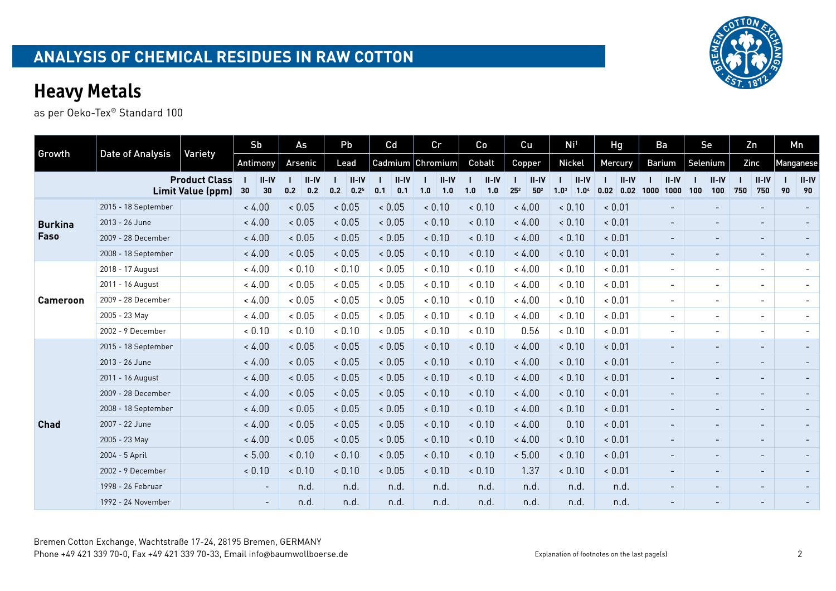|                 |                     |                                           | Sb       |               |            | As               |     | Pb                            | Cd     |                  |     | Cr               |     | Co               |                 | Cu                | Ni <sup>1</sup>                                 | Hg                        | Ba            |                          | Se       |                              |     | Zn                       |    | Mn              |
|-----------------|---------------------|-------------------------------------------|----------|---------------|------------|------------------|-----|-------------------------------|--------|------------------|-----|------------------|-----|------------------|-----------------|-------------------|-------------------------------------------------|---------------------------|---------------|--------------------------|----------|------------------------------|-----|--------------------------|----|-----------------|
| Growth          | Date of Analysis    | Variety                                   | Antimony |               |            | Arsenic          |     | Lead                          |        | Cadmium          |     | Chromium         |     | Cobalt           |                 | Copper            | <b>Nickel</b>                                   | Mercury                   | <b>Barium</b> |                          | Selenium |                              |     | Zinc                     |    | Manganese       |
|                 |                     | <b>Product Class</b><br>Limit Value (ppm) | 30       | $II-IV$<br>30 | 0.2        | $II - IV$<br>0.2 | 0.2 | $II - IV$<br>0.2 <sup>5</sup> | 0.1    | $II - IV$<br>0.1 | 1.0 | $II - IV$<br>1.0 | 1.0 | $II - IV$<br>1.0 | 25 <sup>2</sup> | $II-IV$<br>$50^2$ | $II-IV$<br>1.0 <sup>3</sup><br>1.0 <sup>4</sup> | $II-IV$<br>$0.02 \, 0.02$ | 1000          | $II - IV$<br>1000        | 100      | $II-IV$<br>100               | 750 | $II-IV$<br>750           | 90 | $ $ II-IV<br>90 |
|                 | 2015 - 18 September |                                           | < 4.00   |               | 0.05       |                  |     | < 0.05                        |        | < 0.05           |     | < 0.10           |     | < 0.10           |                 | < 4.00            | < 0.10                                          | 0.01                      |               | $\overline{\phantom{0}}$ |          |                              |     | $\overline{\phantom{a}}$ |    |                 |
| <b>Burkina</b>  | 2013 - 26 June      |                                           | < 4.00   |               | < 0.05     |                  |     | < 0.05                        |        | < 0.05           |     | < 0.10           |     | < 0.10           |                 | < 4.00            | 0.10                                            | < 0.01                    |               | $\overline{\phantom{a}}$ |          | $\overline{\phantom{0}}$     |     | $\overline{\phantom{a}}$ |    |                 |
| Faso            | 2009 - 28 December  |                                           | < 4.00   |               | < 0.05     |                  |     | < 0.05                        |        | < 0.05           |     | < 0.10           |     | < 0.10           |                 | < 4.00            | 0.10                                            | < 0.01                    |               | $\overline{\phantom{a}}$ |          | $\sim$                       |     | $\overline{\phantom{a}}$ |    |                 |
|                 | 2008 - 18 September |                                           | < 4.00   |               | < 0.05     |                  |     | ~ 0.05                        |        | < 0.05           |     | < 0.10           |     | < 0.10           |                 | < 4.00            | 0.10                                            | < 0.01                    |               | $\overline{\phantom{a}}$ |          | $\overline{\phantom{0}}$     |     | $\overline{\phantom{a}}$ |    |                 |
|                 | 2018 - 17 August    |                                           | < 4.00   |               | < 0.10     |                  |     | & 0.10                        |        | ${}< 0.05$       |     | < 0.10           |     | & 0.10           |                 | < 4.00            | < 0.10                                          | < 0.01                    |               | $\overline{\phantom{0}}$ |          | $\overline{\phantom{a}}$     |     | $\overline{\phantom{a}}$ |    |                 |
|                 | 2011 - 16 August    |                                           | < 4.00   |               | ${}< 0.05$ |                  |     | ${}< 0.05$                    |        | < 0.05           |     | < 0.10           |     | < 0.10           |                 | < 4.00            | & 0.10                                          | & 0.01                    |               | $\overline{\phantom{0}}$ |          | $\overline{\phantom{a}}$     |     | $\overline{\phantom{a}}$ |    |                 |
| <b>Cameroon</b> | 2009 - 28 December  |                                           | < 4.00   |               | ${}< 0.05$ |                  |     | ${}< 0.05$                    |        | < 0.05           |     | < 0.10           |     | & 0.10           |                 | < 4.00            | & 0.10                                          | & 0.01                    |               | $\overline{\phantom{0}}$ |          | $\overline{\phantom{a}}$     |     | $\overline{\phantom{a}}$ |    |                 |
|                 | 2005 - 23 May       |                                           | < 4.00   |               | & 0.05     |                  |     | & 0.05                        |        | ${}< 0.05$       |     | 0.10             |     | & 0.10           |                 | < 4.00            | & 0.10                                          | & 0.01                    |               | $\overline{\phantom{0}}$ |          | $\overline{\phantom{0}}$     |     | $\overline{\phantom{a}}$ |    |                 |
|                 | 2002 - 9 December   |                                           | < 0.10   |               | < 0.10     |                  |     | < 0.10                        |        | < 0.05           |     | < 0.10           |     | & 0.10           |                 | 0.56              | & 0.10                                          | & 0.01                    |               | $\overline{\phantom{0}}$ |          | $\overline{\phantom{0}}$     |     | $\overline{\phantom{a}}$ |    |                 |
|                 | 2015 - 18 September |                                           | < 4.00   |               | < 0.05     |                  |     | < 0.05                        |        | < 0.05           |     | < 0.10           |     | < 0.10           |                 | < 4.00            | 0.10                                            | & 0.01                    |               | $\overline{\phantom{0}}$ |          | $\qquad \qquad \blacksquare$ |     | $\overline{\phantom{a}}$ |    |                 |
|                 | 2013 - 26 June      |                                           | < 4.00   |               | 0.05       |                  |     | ~ 0.05                        |        | < 0.05           |     | < 0.10           |     | < 0.10           |                 | < 4.00            | 0.10                                            | ~ 0.01                    |               |                          |          | $\overline{\phantom{a}}$     |     | $\overline{\phantom{a}}$ |    |                 |
|                 | 2011 - 16 August    |                                           | < 4.00   |               | < 0.05     |                  |     | < 0.05                        |        | < 0.05           |     | < 0.10           |     | < 0.10           |                 | < 4.00            | < 0.10                                          | ~ 0.01                    |               |                          |          | $\overline{\phantom{a}}$     |     | $\overline{\phantom{a}}$ |    |                 |
|                 | 2009 - 28 December  |                                           | < 4.00   |               | < 0.05     |                  |     | < 0.05                        |        | < 0.05           |     | < 0.10           |     | < 0.10           |                 | < 4.00            | 0.10                                            | 0.01                      |               |                          |          |                              |     | $\overline{\phantom{a}}$ |    |                 |
|                 | 2008 - 18 September |                                           | < 4.00   |               | < 0.05     |                  |     | < 0.05                        |        | < 0.05           |     | < 0.10           |     | < 0.10           |                 | < 4.00            | < 0.10                                          | < 0.01                    |               |                          |          | $\overline{\phantom{0}}$     |     | $\overline{\phantom{a}}$ |    |                 |
| <b>Chad</b>     | 2007 - 22 June      |                                           | < 4.00   |               | 0.05       |                  |     | ${}< 0.05$                    | < 0.05 |                  |     | < 0.10           |     | < 0.10           |                 | < 4.00            | 0.10                                            | & 0.01                    |               |                          |          | $\overline{\phantom{0}}$     |     |                          |    |                 |
|                 | 2005 - 23 May       |                                           | < 4.00   |               | < 0.05     |                  |     | < 0.05                        |        | < 0.05           |     | < 0.10           |     | < 0.10           |                 | < 4.00            | 0.10                                            | < 0.01                    |               | Ξ.                       |          | $\overline{\phantom{0}}$     |     | $\overline{\phantom{a}}$ |    |                 |
|                 | 2004 - 5 April      |                                           | < 5.00   |               | < 0.10     |                  |     | < 0.10                        |        | < 0.05           |     | < 0.10           |     | < 0.10           |                 | < 5.00            | 0.10                                            | < 0.01                    |               | $\overline{\phantom{0}}$ |          | $\overline{\phantom{a}}$     |     | $\overline{\phantom{a}}$ |    |                 |
|                 | 2002 - 9 December   |                                           | < 0.10   |               | < 0.10     |                  |     | < 0.10                        |        | < 0.05           |     | < 0.10           |     | < 0.10           |                 | 1.37              | & 0.10                                          | < 0.01                    |               | $\overline{\phantom{0}}$ |          | $\overline{\phantom{a}}$     |     | $\overline{\phantom{a}}$ |    |                 |
|                 | 1998 - 26 Februar   |                                           |          | $\sim$        |            | n.d.             |     | n.d.                          |        | n.d.             |     | n.d.             |     | n.d.             |                 | n.d.              | n.d.                                            | n.d.                      |               | $\overline{\phantom{a}}$ |          | $\overline{\phantom{a}}$     |     | $\overline{\phantom{a}}$ |    |                 |
|                 | 1992 - 24 November  |                                           |          | $\sim$        |            | n.d.             |     | n.d.                          |        | n.d.             |     | n.d.             |     | n.d.             |                 | n.d.              | n.d.                                            | n.d.                      |               |                          |          |                              |     |                          |    |                 |

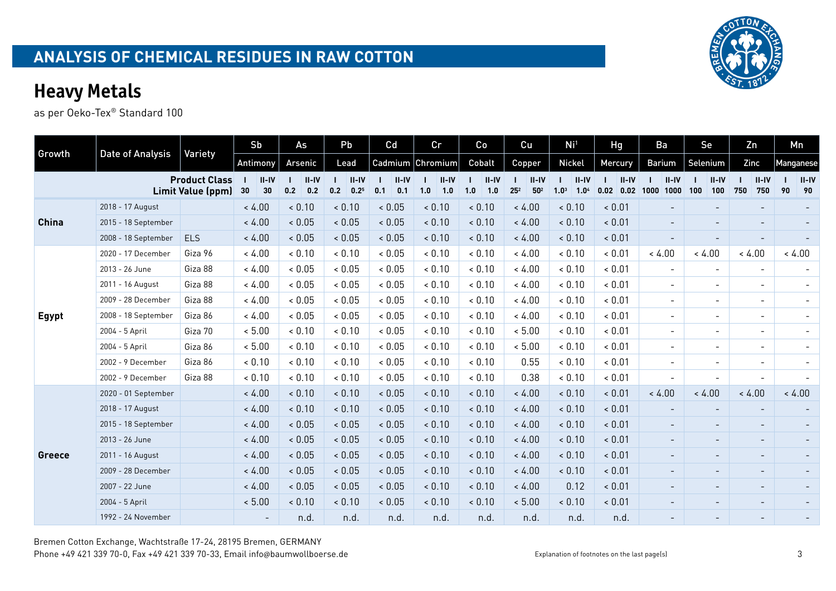|              |                     |                                           | Sb                       | As                      | Pb                          | Cd                    | Cr                    | Co                      | Cu                                       | Ni <sup>1</sup>                                 | <b>Hg</b>                   | Ba                       | Se                       | Zn                       | Mn        |                 |
|--------------|---------------------|-------------------------------------------|--------------------------|-------------------------|-----------------------------|-----------------------|-----------------------|-------------------------|------------------------------------------|-------------------------------------------------|-----------------------------|--------------------------|--------------------------|--------------------------|-----------|-----------------|
| Growth       | Date of Analysis    | Variety                                   | Antimony                 | Arsenic                 | Lead                        | Cadmium               | Chromium              | Cobalt                  | Copper                                   | <b>Nickel</b>                                   | Mercury                     | Barium                   | Selenium                 | Zinc                     | Manganese |                 |
|              |                     | <b>Product Class</b><br>Limit Value (ppm) | $II-IV$<br>30<br>30      | $II - IV$<br>0.2<br>0.2 | $II-IV$<br>0.2<br>$0.2^{5}$ | $II-IV$<br>0.1<br>0.1 | $II-IV$<br>1.0<br>1.0 | $II - IV$<br>1.0<br>1.0 | $II - IV$<br>$25^{2}$<br>$\mathbf{50}^2$ | $II-IV$<br>1.0 <sup>3</sup><br>1.0 <sup>4</sup> | $II-IV$<br>$0.02$ 0.02 1000 | $II - IV$<br>1000        | $II$ -IV<br>100<br>100   | $II-IV$<br>750<br>750    | 90        | $II - IV$<br>90 |
|              | 2018 - 17 August    |                                           | < 4.00                   | < 0.10                  | < 0.10                      | 0.05                  | & 0.10                | < 0.10                  | < 4.00                                   | 0.10                                            | < 0.01                      |                          |                          |                          |           |                 |
| <b>China</b> | 2015 - 18 September |                                           | < 4.00                   | < 0.05                  | < 0.05                      | < 0.05                | < 0.10                | < 0.10                  | < 4.00                                   | < 0.10                                          | < 0.01                      | -                        |                          |                          |           |                 |
|              | 2008 - 18 September | <b>ELS</b>                                | < 4.00                   | < 0.05                  | < 0.05                      | < 0.05                | < 0.10                | < 0.10                  | < 4.00                                   | < 0.10                                          | & 0.01                      | $\blacksquare$           |                          |                          |           |                 |
|              | 2020 - 17 December  | Giza 96                                   | < 4.00                   | & 0.10                  | & 0.10                      | < 0.05                | < 0.10                | < 0.10                  | < 4.00                                   | 0.10                                            | & 0.01                      | < 4.00                   | < 4.00                   | < 4.00                   | < 4.00    |                 |
|              | 2013 - 26 June      | Giza 88                                   | < 4.00                   | & 0.05                  | & 0.05                      | < 0.05                | < 0.10                | < 0.10                  | < 4.00                                   | 0.10                                            | & 0.01                      | $\overline{\phantom{a}}$ | $\overline{\phantom{a}}$ |                          |           |                 |
|              | 2011 - 16 August    | Giza 88                                   | < 4.00                   | & 0.05                  | & 0.05                      | < 0.05                | < 0.10                | & 0.10                  | < 4.00                                   | & 0.10                                          | & 0.01                      | $\blacksquare$           | $\overline{\phantom{a}}$ | $\overline{\phantom{a}}$ |           |                 |
|              | 2009 - 28 December  | Giza 88                                   | < 4.00                   | & 0.05                  | & 0.05                      | ${}< 0.05$            | < 0.10                | < 0.10                  | < 4.00                                   | 0.10                                            | & 0.01                      | $\overline{\phantom{a}}$ | $\overline{\phantom{a}}$ | $\overline{\phantom{a}}$ |           |                 |
| <b>Egypt</b> | 2008 - 18 September | Giza 86                                   | < 4.00                   | & 0.05                  | & 0.05                      | < 0.05                | < 0.10                | < 0.10                  | < 4.00                                   | 0.10                                            | & 0.01                      | $\overline{\phantom{0}}$ | $\overline{\phantom{a}}$ | $\overline{\phantom{a}}$ |           |                 |
|              | 2004 - 5 April      | Giza 70                                   | < 5.00                   | < 0.10                  | & 0.10                      | < 0.05                | < 0.10                | < 0.10                  | < 5.00                                   | & 0.10                                          | & 0.01                      | $\overline{\phantom{0}}$ | $\overline{\phantom{a}}$ | $\overline{\phantom{a}}$ |           |                 |
|              | 2004 - 5 April      | Giza 86                                   | < 5.00                   | & 0.10                  | & 0.10                      | < 0.05                | < 0.10                | < 0.10                  | < 5.00                                   | 0.10                                            | & 0.01                      | $\overline{\phantom{a}}$ | $\overline{\phantom{a}}$ | $\overline{\phantom{a}}$ |           |                 |
|              | 2002 - 9 December   | Giza 86                                   | < 0.10                   | < 0.10                  | & 0.10                      | < 0.05                | < 0.10                | < 0.10                  | 0.55                                     | 0.10                                            | & 0.01                      | $\overline{\phantom{0}}$ | $\overline{\phantom{0}}$ | $\overline{\phantom{a}}$ |           |                 |
|              | 2002 - 9 December   | Giza 88                                   | < 0.10                   | < 0.10                  | & 0.10                      | < 0.05                | < 0.10                | & 0.10                  | 0.38                                     | & 0.10                                          | & 0.01                      | $\overline{\phantom{0}}$ | $\overline{\phantom{0}}$ | $\overline{\phantom{a}}$ |           |                 |
|              | 2020 - 01 September |                                           | < 4.00                   | < 0.10                  | < 0.10                      | < 0.05                | < 0.10                | < 0.10                  | < 4.00                                   | 0.10                                            | & 0.01                      | < 4.00                   | < 4.00                   | < 4.00                   | < 4.00    |                 |
|              | 2018 - 17 August    |                                           | < 4.00                   | < 0.10                  | < 0.10                      | < 0.05                | < 0.10                | < 0.10                  | < 4.00                                   | < 0.10                                          | < 0.01                      |                          |                          | $\overline{\phantom{a}}$ |           |                 |
|              | 2015 - 18 September |                                           | < 4.00                   | & 0.05                  | < 0.05                      | < 0.05                | < 0.10                | < 0.10                  | < 4.00                                   | < 0.10                                          | < 0.01                      |                          |                          | $\overline{\phantom{a}}$ |           |                 |
|              | 2013 - 26 June      |                                           | < 4.00                   | < 0.05                  | < 0.05                      | < 0.05                | < 0.10                | < 0.10                  | < 4.00                                   | < 0.10                                          | < 0.01                      | $\overline{\phantom{0}}$ | $\overline{\phantom{a}}$ | $\overline{\phantom{a}}$ |           |                 |
| Greece       | 2011 - 16 August    |                                           | < 4.00                   | < 0.05                  | < 0.05                      | < 0.05                | < 0.10                | < 0.10                  | < 4.00                                   | < 0.10                                          | < 0.01                      |                          | $\overline{\phantom{a}}$ | $\overline{\phantom{a}}$ |           |                 |
|              | 2009 - 28 December  |                                           | < 4.00                   | & 0.05                  | < 0.05                      | < 0.05                | < 0.10                | < 0.10                  | < 4.00                                   | < 0.10                                          | < 0.01                      | $\overline{\phantom{0}}$ | $\overline{\phantom{a}}$ | $\overline{\phantom{a}}$ |           |                 |
|              | 2007 - 22 June      |                                           | < 4.00                   | < 0.05                  | < 0.05                      | < 0.05                | < 0.10                | < 0.10                  | < 4.00                                   | 0.12                                            | & 0.01                      |                          | $\overline{\phantom{a}}$ | $\overline{\phantom{a}}$ |           |                 |
|              | 2004 - 5 April      |                                           | < 5.00                   | < 0.10                  | < 0.10                      | < 0.05                | < 0.10                | < 0.10                  | < 5.00                                   | < 0.10                                          | < 0.01                      |                          | $\overline{\phantom{0}}$ | $\overline{\phantom{a}}$ |           |                 |
|              | 1992 - 24 November  |                                           | $\overline{\phantom{a}}$ | n.d.                    | n.d.                        | n.d.                  | n.d.                  | n.d.                    | n.d.                                     | n.d.                                            | n.d.                        |                          |                          |                          |           |                 |

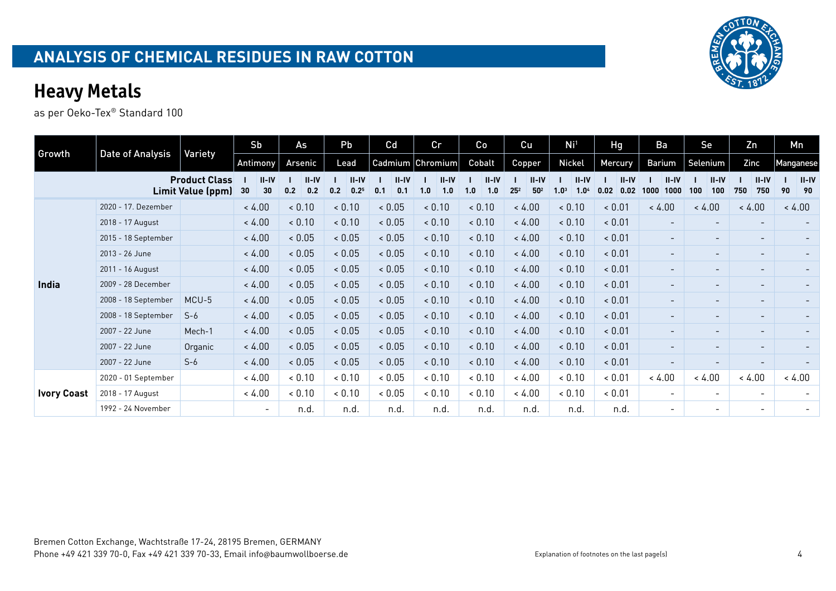|                    |                         |                                           | Sb                  | As                    | Pb                                   | Cd                    | cr                    | Co                    | Cu                                            | Ni <sup>1</sup>                                 | Hg                      | Ba                        | Se                           | Zn                       | Mn                    |
|--------------------|-------------------------|-------------------------------------------|---------------------|-----------------------|--------------------------------------|-----------------------|-----------------------|-----------------------|-----------------------------------------------|-------------------------------------------------|-------------------------|---------------------------|------------------------------|--------------------------|-----------------------|
| Growth             | <b>Date of Analysis</b> | Variety                                   | Antimony            | Arsenic               | Lead                                 |                       | Cadmium Chromium      | Cobalt                | <b>Copper</b>                                 | <b>Nickel</b>                                   | <b>Mercury</b>          | Barium                    | Selenium                     | Zinc                     | Manganese             |
|                    |                         | <b>Product Class</b><br>Limit Value (ppm) | $II-IV$<br>30<br>30 | $II-IV$<br>0.2<br>0.2 | $II - IV$<br>0.2<br>0.2 <sup>5</sup> | $II-IV$<br>0.1<br>0.1 | $II-IV$<br>1.0<br>1.0 | $II-IV$<br>1.0<br>1.0 | $II-IV$<br>25 <sup>2</sup><br>50 <sup>2</sup> | $II-IV$<br>1.0 <sup>3</sup><br>1.0 <sup>4</sup> | $II-IV$<br>0.02<br>0.02 | $II - IV$<br>1000<br>1000 | $II-IV$<br>100<br>100        | $II-IV$<br>750<br>750    | $II-IV$<br>90<br>- 90 |
|                    | 2020 - 17. Dezember     |                                           | < 4.00              | < 0.10                | < 0.10                               | < 0.05                | < 0.10                | < 0.10                | < 4.00                                        | < 0.10                                          | < 0.01                  | < 4.00                    | < 4.00                       | < 4.00                   | < 4.00                |
|                    | 2018 - 17 August        |                                           | < 4.00              | < 0.10                | < 0.10                               | < 0.05                | < 0.10                | < 0.10                | < 4.00                                        | < 0.10                                          | < 0.01                  |                           | $\overline{\phantom{0}}$     | $\overline{\phantom{0}}$ |                       |
|                    | 2015 - 18 September     |                                           | < 4.00              | < 0.05                | < 0.05                               | < 0.05                | < 0.10                | < 0.10                | < 4.00                                        | < 0.10                                          | < 0.01                  | $\overline{\phantom{a}}$  | $\qquad \qquad \blacksquare$ | $\overline{\phantom{a}}$ |                       |
|                    | 2013 - 26 June          |                                           | < 4.00              | < 0.05                | < 0.05                               | < 0.05                | 0.10                  | < 0.10                | < 4.00                                        | < 0.10                                          | < 0.01                  | $\overline{\phantom{a}}$  | $\qquad \qquad \blacksquare$ | $\overline{\phantom{a}}$ |                       |
|                    | 2011 - 16 August        |                                           | < 4.00              | < 0.05                | < 0.05                               | < 0.05                | 0.10                  | < 0.10                | < 4.00                                        | < 0.10                                          | < 0.01                  | -                         | $\qquad \qquad$              | $\overline{\phantom{a}}$ |                       |
| India              | 2009 - 28 December      |                                           | < 4.00              | < 0.05                | < 0.05                               | < 0.05                | < 0.10                | < 0.10                | < 4.00                                        | < 0.10                                          | < 0.01                  | $\overline{\phantom{0}}$  | $\overline{\phantom{0}}$     | $\overline{\phantom{a}}$ |                       |
|                    | 2008 - 18 September     | MCU-5                                     | < 4.00              | < 0.05                | < 0.05                               | < 0.05                | 0.10                  | < 0.10                | < 4.00                                        | < 0.10                                          | < 0.01                  | $\sim$                    | $\overline{\phantom{0}}$     | $\overline{\phantom{a}}$ |                       |
|                    | 2008 - 18 September     | $S-6$                                     | < 4.00              | < 0.05                | < 0.05                               | < 0.05                | < 0.10                | < 0.10                | < 4.00                                        | < 0.10                                          | < 0.01                  | $\sim$                    | $\overline{\phantom{0}}$     | $\overline{\phantom{a}}$ |                       |
|                    | 2007 - 22 June          | Mech-1                                    | < 4.00              | < 0.05                | < 0.05                               | < 0.05                | < 0.10                | < 0.10                | < 4.00                                        | < 0.10                                          | < 0.01                  | $\sim$                    | $\overline{\phantom{0}}$     | $\overline{\phantom{a}}$ |                       |
|                    | 2007 - 22 June          | Organic                                   | < 4.00              | < 0.05                | < 0.05                               | < 0.05                | 0.10                  | < 0.10                | < 4.00                                        | < 0.10                                          | < 0.01                  | $\overline{\phantom{a}}$  | $\overline{\phantom{a}}$     | $\overline{\phantom{a}}$ |                       |
|                    | 2007 - 22 June          | $S-6$                                     | < 4.00              | < 0.05                | < 0.05                               | < 0.05                | < 0.10                | < 0.10                | < 4.00                                        | < 0.10                                          | < 0.01                  | $\overline{\phantom{a}}$  | $\overline{\phantom{a}}$     | $\overline{\phantom{a}}$ |                       |
|                    | 2020 - 01 September     |                                           | < 4.00              | < 0.10                | & 0.10                               | ${}< 0.05$            | < 0.10                | < 0.10                | < 4.00                                        | & 0.10                                          | & 0.01                  | < 4.00                    | < 4.00                       | < 4.00                   | < 4.00                |
| <b>Ivory Coast</b> | 2018 - 17 August        |                                           | < 4.00              | < 0.10                | < 0.10                               | < 0.05                | < 0.10                | < 0.10                | < 4.00                                        | & 0.10                                          | & 0.01                  | $\overline{\phantom{a}}$  | $\overline{\phantom{0}}$     | $\overline{\phantom{a}}$ |                       |
|                    | 1992 - 24 November      |                                           | $\sim$              | n.d.                  | n.d.                                 | n.d.                  | n.d.                  | n.d.                  | n.d.                                          | n.d.                                            | n.d.                    | $\sim$                    | $\overline{\phantom{0}}$     | $\overline{\phantom{a}}$ |                       |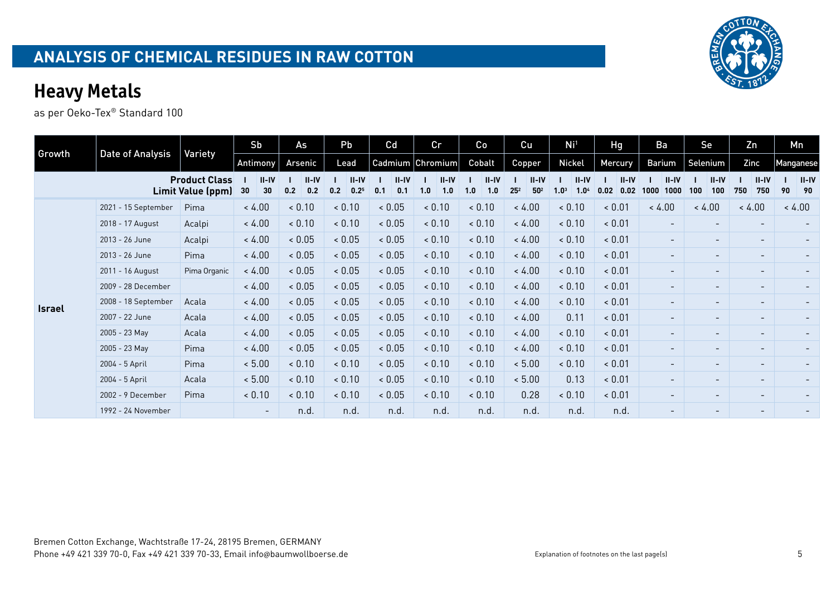| Growth        | Date of Analysis    | Variety                                   | Sb                  | As                    | Pb                                   | Cd                    | cr                    | Co                    | Cu                                            | Ni <sup>1</sup>                                 | Hg                      | Ba                       | Se                       | Zn                       | Mn                  |
|---------------|---------------------|-------------------------------------------|---------------------|-----------------------|--------------------------------------|-----------------------|-----------------------|-----------------------|-----------------------------------------------|-------------------------------------------------|-------------------------|--------------------------|--------------------------|--------------------------|---------------------|
|               |                     |                                           | Antimony            | Arsenic               | Lead                                 |                       | Cadmium Chromium      | Cobalt                | <b>Copper</b>                                 | <b>Nickel</b>                                   | Mercury                 | <b>Barium</b>            | Selenium                 | Zinc                     | Manganese           |
|               |                     | <b>Product Class</b><br>Limit Value (ppm) | $II-IV$<br>30<br>30 | $II-IV$<br>0.2<br>0.2 | $II - IV$<br>0.2 <sup>5</sup><br>0.2 | $II-IV$<br>0.1<br>0.1 | $II-IV$<br>1.0<br>1.0 | $II-IV$<br>1.0<br>1.0 | $II-IV$<br>25 <sup>2</sup><br>50 <sup>2</sup> | $II-IV$<br>1.0 <sup>3</sup><br>1.0 <sup>4</sup> | $II-IV$<br>0.02<br>0.02 | $II-IV$<br>1000<br>1000  | $II-IV$<br>100<br>100    | $II-IV$<br>750<br>750    | $II-IV$<br>90<br>90 |
|               | 2021 - 15 September | Pima                                      | < 4.00              | < 0.10                | < 0.10                               | < 0.05                | < 0.10                | 0.10                  | < 4.00                                        | < 0.10                                          | < 0.01                  | < 4.00                   | < 4.00                   | < 4.00                   | < 4.00              |
|               | 2018 - 17 August    | Acalpi                                    | < 4.00              | < 0.10                | < 0.10                               | < 0.05                | 0.10                  | < 0.10                | < 4.00                                        | < 0.10                                          | < 0.01                  | $\overline{\phantom{0}}$ | $\qquad \qquad$          | $\overline{\phantom{a}}$ |                     |
|               | 2013 - 26 June      | Acalpi                                    | < 4.00              | < 0.05                | < 0.05                               | < 0.05                | < 0.10                | < 0.10                | < 4.00                                        | < 0.10                                          | & 0.01                  | $\sim$                   | $\overline{\phantom{0}}$ | $\sim$                   |                     |
|               | 2013 - 26 June      | Pima                                      | < 4.00              | < 0.05                | < 0.05                               | < 0.05                | 0.10                  | < 0.10                | < 4.00                                        | < 0.10                                          | < 0.01                  | $\overline{\phantom{0}}$ | $\overline{\phantom{a}}$ | $\sim$                   |                     |
|               | 2011 - 16 August    | Pima Organic                              | < 4.00              | < 0.05                | < 0.05                               | < 0.05                | 0.10                  | < 0.10                | < 4.00                                        | < 0.10                                          | & 0.01                  | $\overline{\phantom{0}}$ | $\overline{\phantom{a}}$ | $\sim$                   |                     |
|               | 2009 - 28 December  |                                           | < 4.00              | < 0.05                | < 0.05                               | < 0.05                | 0.10                  | < 0.10                | < 4.00                                        | < 0.10                                          | < 0.01                  | $\overline{\phantom{0}}$ | $\overline{\phantom{0}}$ | $\sim$                   |                     |
| <b>Israel</b> | 2008 - 18 September | Acala                                     | < 4.00              | < 0.05                | < 0.05                               | < 0.05                | < 0.10                | < 0.10                | < 4.00                                        | < 0.10                                          | < 0.01                  | $\overline{\phantom{0}}$ | $\sim$                   | $\sim$                   |                     |
|               | 2007 - 22 June      | Acala                                     | < 4.00              | < 0.05                | < 0.05                               | < 0.05                | 0.10                  | < 0.10                | < 4.00                                        | 0.11                                            | < 0.01                  | $-$                      | $\sim$                   | $\overline{\phantom{a}}$ |                     |
|               | 2005 - 23 May       | Acala                                     | < 4.00              | < 0.05                | < 0.05                               | < 0.05                | < 0.10                | < 0.10                | < 4.00                                        | < 0.10                                          | < 0.01                  | ۰.                       | $\overline{\phantom{a}}$ | $\overline{\phantom{a}}$ |                     |
|               | 2005 - 23 May       | Pima                                      | < 4.00              | < 0.05                | < 0.05                               | < 0.05                | < 0.10                | < 0.10                | < 4.00                                        | < 0.10                                          | < 0.01                  | $\overline{\phantom{a}}$ | $\overline{\phantom{a}}$ | $\overline{\phantom{a}}$ |                     |
|               | 2004 - 5 April      | Pima                                      | < 5.00              | < 0.10                | < 0.10                               | < 0.05                | 0.10                  | < 0.10                | < 5.00                                        | < 0.10                                          | < 0.01                  | $\overline{\phantom{0}}$ | $\overline{\phantom{a}}$ | $\overline{\phantom{a}}$ |                     |
|               | 2004 - 5 April      | Acala                                     | < 5.00              | < 0.10                | < 0.10                               | < 0.05                | 0.10                  | 0.10                  | < 5.00                                        | 0.13                                            | < 0.01                  | $\overline{\phantom{a}}$ | $\overline{\phantom{0}}$ | $\overline{\phantom{a}}$ |                     |
|               | 2002 - 9 December   | Pima                                      | < 0.10              | < 0.10                | < 0.10                               | < 0.05                | 0.10                  | 0.10                  | 0.28                                          | < 0.10                                          | < 0.01                  | ۰.                       | $\overline{\phantom{a}}$ | $\overline{\phantom{a}}$ |                     |
|               | 1992 - 24 November  |                                           | $\sim$              | n.d.                  | n.d.                                 | n.d.                  | n.d.                  | n.d.                  | n.d.                                          | n.d.                                            | n.d.                    | $\sim$                   | $\overline{\phantom{0}}$ | $\overline{\phantom{0}}$ |                     |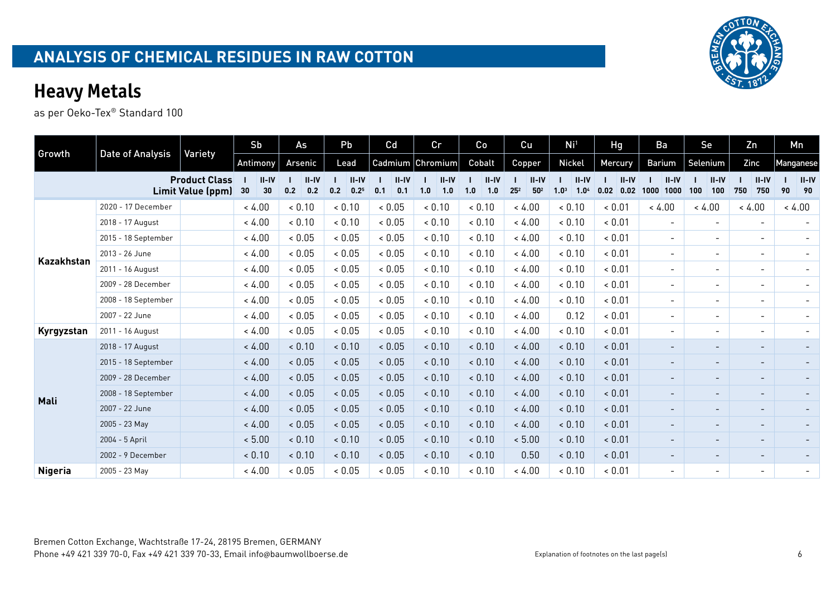|                |                     |                                           | Sb                    | As                      | Pb                                   | Cd                      | cr                      | Co                      | Cu                                            | Ni <sup>1</sup>                                 | Hg                        | Ba                        | Se                       | Zn                       | Mn        |                 |
|----------------|---------------------|-------------------------------------------|-----------------------|-------------------------|--------------------------------------|-------------------------|-------------------------|-------------------------|-----------------------------------------------|-------------------------------------------------|---------------------------|---------------------------|--------------------------|--------------------------|-----------|-----------------|
| Growth         | Date of Analysis    | Variety                                   | Antimony              | Arsenic                 | Lead                                 |                         | Cadmium Chromium        | Cobalt                  | Copper                                        | <b>Nickel</b>                                   | Mercury                   | <b>Barium</b>             | Selenium                 | Zinc                     | Manganese |                 |
|                |                     | <b>Product Class</b><br>Limit Value (ppm) | $II - IV$<br>30<br>30 | $II - IV$<br>0.2<br>0.2 | $II - IV$<br>0.2<br>0.2 <sup>5</sup> | $II - IV$<br>0.1<br>0.1 | $II - IV$<br>1.0<br>1.0 | $II - IV$<br>1.0<br>1.0 | $II-IV$<br>25 <sup>2</sup><br>50 <sup>2</sup> | $II-IV$<br>1.0 <sup>3</sup><br>1.0 <sup>4</sup> | $II - IV$<br>0.02<br>0.02 | $II - IV$<br>1000<br>1000 | $II-IV$<br>100<br>100    | $II-IV$<br>750<br>750    | 90        | $II - IV$<br>90 |
|                | 2020 - 17 December  |                                           | < 4.00                | < 0.10                  | < 0.10                               | ${}< 0.05$              | < 0.10                  | < 0.10                  | < 4.00                                        | < 0.10                                          | < 0.01                    | < 4.00                    | < 4.00                   | < 4.00                   | < 4.00    |                 |
|                | 2018 - 17 August    |                                           | < 4.00                | & 0.10                  | < 0.10                               | ${}< 0.05$              | < 0.10                  | < 0.10                  | < 4.00                                        | < 0.10                                          | & 0.01                    | $\sim$                    | $\sim$                   | $\overline{\phantom{a}}$ |           |                 |
|                | 2015 - 18 September |                                           | < 4.00                | < 0.05                  | < 0.05                               | ${}< 0.05$              | < 0.10                  | < 0.10                  | < 4.00                                        | < 0.10                                          | < 0.01                    | $\sim$                    | $\overline{\phantom{a}}$ | $\overline{\phantom{a}}$ |           |                 |
| Kazakhstan     | 2013 - 26 June      |                                           | < 4.00                | < 0.05                  | < 0.05                               | ${}< 0.05$              | < 0.10                  | < 0.10                  | < 4.00                                        | < 0.10                                          | < 0.01                    | $\sim$                    | $\overline{\phantom{a}}$ | $\overline{\phantom{a}}$ |           |                 |
|                | 2011 - 16 August    |                                           | < 4.00                | ${}< 0.05$              | ${}< 0.05$                           | ${}< 0.05$              | < 0.10                  | < 0.10                  | < 4.00                                        | < 0.10                                          | & 0.01                    | $\sim$                    | $\overline{\phantom{a}}$ | $\overline{\phantom{a}}$ |           |                 |
|                | 2009 - 28 December  |                                           | < 4.00                | ${}< 0.05$              | < 0.05                               | ${}< 0.05$              | < 0.10                  | < 0.10                  | < 4.00                                        | & 0.10                                          | & 0.01                    | $\sim$                    | $\overline{\phantom{a}}$ | $\overline{\phantom{a}}$ |           |                 |
|                | 2008 - 18 September |                                           | < 4.00                | ${}< 0.05$              | ${}< 0.05$                           | ${}< 0.05$              | < 0.10                  | < 0.10                  | < 4.00                                        | < 0.10                                          | & 0.01                    | $\sim$                    | $\overline{\phantom{0}}$ | $\overline{\phantom{a}}$ |           |                 |
|                | 2007 - 22 June      |                                           | < 4.00                | ${}< 0.05$              | ${}< 0.05$                           | ${}< 0.05$              | < 0.10                  | < 0.10                  | < 4.00                                        | 0.12                                            | < 0.01                    | $\sim$                    | $\sim$                   | $\overline{\phantom{a}}$ |           |                 |
| Kyrgyzstan     | 2011 - 16 August    |                                           | < 4.00                | ${}< 0.05$              | < 0.05                               | ${}< 0.05$              | < 0.10                  | < 0.10                  | < 4.00                                        | < 0.10                                          | < 0.01                    | $\overline{\phantom{0}}$  | $\overline{\phantom{0}}$ | $\overline{\phantom{a}}$ |           |                 |
|                | 2018 - 17 August    |                                           | < 4.00                | < 0.10                  | < 0.10                               | < 0.05                  | < 0.10                  | < 0.10                  | < 4.00                                        | < 0.10                                          | < 0.01                    |                           | $\overline{\phantom{a}}$ | $\overline{\phantom{0}}$ |           |                 |
|                | 2015 - 18 September |                                           | < 4.00                | < 0.05                  | < 0.05                               | < 0.05                  | < 0.10                  | < 0.10                  | < 4.00                                        | < 0.10                                          | < 0.01                    |                           |                          | $\qquad \qquad -$        |           |                 |
|                | 2009 - 28 December  |                                           | < 4.00                | < 0.05                  | < 0.05                               | < 0.05                  | < 0.10                  | < 0.10                  | < 4.00                                        | < 0.10                                          | < 0.01                    |                           | $\overline{\phantom{0}}$ | -                        |           |                 |
| Mali           | 2008 - 18 September |                                           | < 4.00                | < 0.05                  | < 0.05                               | < 0.05                  | < 0.10                  | < 0.10                  | < 4.00                                        | < 0.10                                          | < 0.01                    | $\overline{\phantom{a}}$  | $\overline{\phantom{a}}$ | $\overline{\phantom{a}}$ |           |                 |
|                | 2007 - 22 June      |                                           | < 4.00                | < 0.05                  | < 0.05                               | < 0.05                  | < 0.10                  | < 0.10                  | < 4.00                                        | < 0.10                                          | < 0.01                    |                           | Ξ.                       | $\overline{\phantom{0}}$ |           |                 |
|                | 2005 - 23 May       |                                           | < 4.00                | < 0.05                  | < 0.05                               | < 0.05                  | < 0.10                  | < 0.10                  | < 4.00                                        | < 0.10                                          | < 0.01                    | $\sim$                    | $\overline{\phantom{a}}$ | $\overline{\phantom{0}}$ |           |                 |
|                | 2004 - 5 April      |                                           | < 5.00                | < 0.10                  | < 0.10                               | < 0.05                  | < 0.10                  | & 0.10                  | < 5.00                                        | < 0.10                                          | < 0.01                    | $\overline{\phantom{a}}$  | $\overline{\phantom{0}}$ | $\overline{\phantom{a}}$ |           |                 |
|                | 2002 - 9 December   |                                           | < 0.10                | < 0.10                  | < 0.10                               | < 0.05                  | < 0.10                  | < 0.10                  | 0.50                                          | < 0.10                                          | & 0.01                    | $\sim$                    | $\sim$                   | -                        |           |                 |
| <b>Nigeria</b> | 2005 - 23 May       |                                           | < 4.00                | < 0.05                  | < 0.05                               | ${}< 0.05$              | < 0.10                  | < 0.10                  | < 4.00                                        | < 0.10                                          | < 0.01                    | $\sim$                    | $\blacksquare$           | $\overline{\phantom{a}}$ |           |                 |

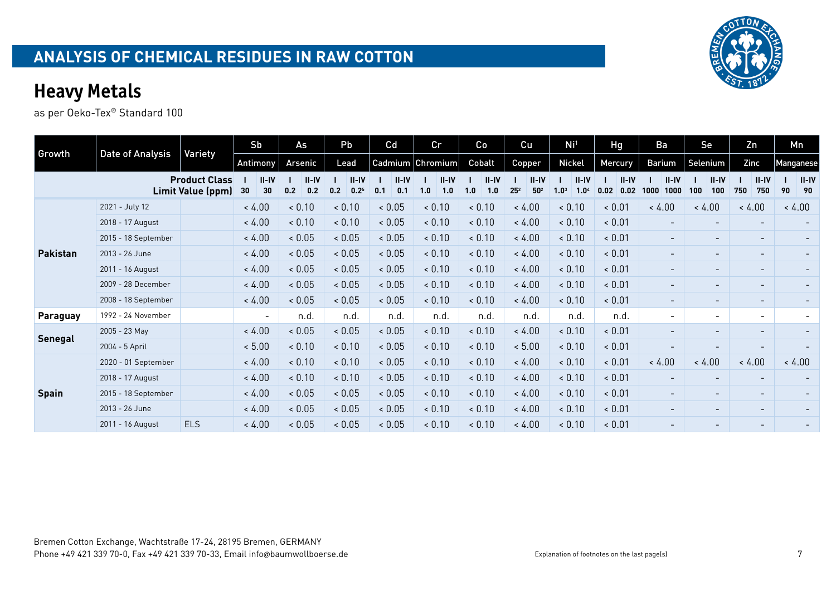| Growth          | Date of Analysis    | Variety                                          | Sb                  | As                      | Pb                                   | Cd                      | Cr                    | Co                    | Cu                                     | Ni <sup>1</sup>                                 | <b>Hg</b>               | Ba                       | Se                       | Zn                       | Mn                  |
|-----------------|---------------------|--------------------------------------------------|---------------------|-------------------------|--------------------------------------|-------------------------|-----------------------|-----------------------|----------------------------------------|-------------------------------------------------|-------------------------|--------------------------|--------------------------|--------------------------|---------------------|
|                 |                     |                                                  | Antimony            | Arsenic                 | Lead                                 |                         | Cadmium Chromium      | Cobalt                | Copper                                 | Nickel                                          | Mercury                 | Barium                   | Selenium                 | Zinc                     | Manganese           |
|                 |                     | <b>Product Class</b><br><b>Limit Value (ppm)</b> | $II-IV$<br>30<br>30 | $II - IV$<br>0.2<br>0.2 | $II - IV$<br>0.2 <sup>5</sup><br>0.2 | $II - IV$<br>0.1<br>0.1 | $II-IV$<br>1.0<br>1.0 | $II-IV$<br>1.0<br>1.0 | $II-IV$<br>$25^{2}$<br>50 <sup>2</sup> | $II-IV$<br>1.0 <sup>3</sup><br>1.0 <sup>4</sup> | $II-IV$<br>0.02<br>0.02 | $II-IV$<br>1000<br>1000  | $II-IV$<br>100<br>100    | $II-IV$<br>750<br>750    | $II-IV$<br>90<br>90 |
|                 | 2021 - July 12      |                                                  | < 4.00              | < 0.10                  | < 0.10                               | < 0.05                  | < 0.10                | < 0.10                | < 4.00                                 | < 0.10                                          | < 0.01                  | < 4.00                   | < 4.00                   | < 4.00                   | < 4.00              |
|                 | 2018 - 17 August    |                                                  | < 4.00              | < 0.10                  | 0.10                                 | < 0.05                  | < 0.10                | < 0.10                | < 4.00                                 | < 0.10                                          | < 0.01                  | $\overline{\phantom{a}}$ | $\overline{\phantom{a}}$ | $\overline{\phantom{a}}$ |                     |
|                 | 2015 - 18 September |                                                  | < 4.00              | < 0.05                  | < 0.05                               | < 0.05                  | < 0.10                | < 0.10                | < 4.00                                 | < 0.10                                          | < 0.01                  | $\sim$                   | $\overline{\phantom{a}}$ | $\sim$                   |                     |
| <b>Pakistan</b> | 2013 - 26 June      |                                                  | < 4.00              | < 0.05                  | < 0.05                               | 0.05                    | < 0.10                | < 0.10                | < 4.00                                 | < 0.10                                          | < 0.01                  | $\sim$                   | $\overline{\phantom{a}}$ | $\sim$                   |                     |
|                 | 2011 - 16 August    |                                                  | < 4.00              | < 0.05                  | < 0.05                               | < 0.05                  | < 0.10                | < 0.10                | < 4.00                                 | < 0.10                                          | < 0.01                  | $\overline{\phantom{a}}$ | $\overline{\phantom{a}}$ | $\sim$                   |                     |
|                 | 2009 - 28 December  |                                                  | < 4.00              | < 0.05                  | < 0.05                               | < 0.05                  | < 0.10                | < 0.10                | < 4.00                                 | < 0.10                                          | < 0.01                  | $\sim$                   | $\overline{\phantom{a}}$ | $\overline{\phantom{a}}$ |                     |
|                 | 2008 - 18 September |                                                  | < 4.00              | < 0.05                  | < 0.05                               | ${}< 0.05$              | < 0.10                | < 0.10                | < 4.00                                 | < 0.10                                          | < 0.01                  | $\overline{\phantom{a}}$ | $\overline{\phantom{a}}$ | $\overline{\phantom{a}}$ |                     |
| <b>Paraguay</b> | 1992 - 24 November  |                                                  | $\sim$              | n.d.                    | n.d.                                 | n.d.                    | n.d.                  | n.d.                  | n.d.                                   | n.d.                                            | n.d.                    | $\overline{\phantom{0}}$ | $\sim$                   | $\overline{\phantom{a}}$ |                     |
| <b>Senegal</b>  | 2005 - 23 May       |                                                  | < 4.00              | < 0.05                  | < 0.05                               | < 0.05                  | < 0.10                | < 0.10                | < 4.00                                 | < 0.10                                          | < 0.01                  | $\overline{\phantom{0}}$ | $\overline{\phantom{a}}$ | $\overline{\phantom{a}}$ |                     |
|                 | 2004 - 5 April      |                                                  | < 5.00              | < 0.10                  | 0.10                                 | < 0.05                  | < 0.10                | < 0.10                | < 5.00                                 | < 0.10                                          | < 0.01                  |                          |                          |                          |                     |
|                 | 2020 - 01 September |                                                  | < 4.00              | < 0.10                  | 0.10                                 | < 0.05                  | < 0.10                | < 0.10                | < 4.00                                 | < 0.10                                          | < 0.01                  | < 4.00                   | < 4.00                   | < 4.00                   | < 4.00              |
|                 | 2018 - 17 August    |                                                  | < 4.00              | < 0.10                  | 0.10                                 | < 0.05                  | < 0.10                | < 0.10                | < 4.00                                 | < 0.10                                          | < 0.01                  | $\overline{\phantom{0}}$ | $\overline{\phantom{a}}$ |                          |                     |
| <b>Spain</b>    | 2015 - 18 September |                                                  | < 4.00              | < 0.05                  | < 0.05                               | < 0.05                  | < 0.10                | < 0.10                | < 4.00                                 | < 0.10                                          | < 0.01                  | $\overline{\phantom{a}}$ | $\overline{\phantom{a}}$ | $\overline{\phantom{a}}$ |                     |
|                 | 2013 - 26 June      |                                                  | < 4.00              | < 0.05                  | < 0.05                               | < 0.05                  | < 0.10                | < 0.10                | < 4.00                                 | < 0.10                                          | < 0.01                  | $\sim$                   | $\overline{\phantom{a}}$ | $\overline{\phantom{a}}$ |                     |
|                 | 2011 - 16 August    | <b>ELS</b>                                       | < 4.00              | < 0.05                  | < 0.05                               | < 0.05                  | < 0.10                | < 0.10                | < 4.00                                 | 0.10                                            | < 0.01                  |                          |                          |                          |                     |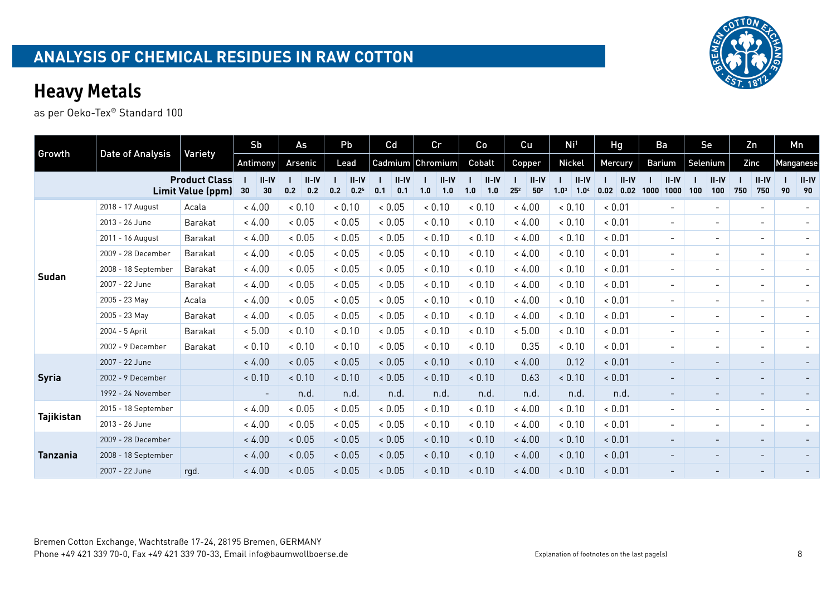|                   |                     |                                           | Sb                       | As                    | Pb                            | Cd                      | cr                    | Co                    | Cu                                            | Ni <sup>1</sup>                                 | <b>Hg</b>                 | Ba                      | Se                       | Zn                       | Mn                   |
|-------------------|---------------------|-------------------------------------------|--------------------------|-----------------------|-------------------------------|-------------------------|-----------------------|-----------------------|-----------------------------------------------|-------------------------------------------------|---------------------------|-------------------------|--------------------------|--------------------------|----------------------|
| Growth            | Date of Analysis    | Variety                                   | Antimony                 | Arsenic               | Lead                          |                         | Cadmium Chromium      | Cobalt                | Copper                                        | <b>Nickel</b>                                   | Mercury                   | Barium                  | Selenium                 | Zinc                     | Manganese            |
|                   |                     | <b>Product Class</b><br>Limit Value (ppm) | $II - IV$<br>30<br>30    | $II-IV$<br>0.2<br>0.2 | $II - IV$<br>$0.2^{5}$<br>0.2 | $II - IV$<br>0.1<br>0.1 | $II-IV$<br>1.0<br>1.0 | $II-IV$<br>1.0<br>1.0 | $II-IV$<br>25 <sup>2</sup><br>50 <sup>2</sup> | $II-IV$<br>1.0 <sup>3</sup><br>1.0 <sup>4</sup> | $II - IV$<br>0.02<br>0.02 | $II-IV$<br>1000<br>1000 | $II - IV$<br>100<br>100  | $II-IV$<br>750<br>750    | $II$ -IV<br>90<br>90 |
|                   | 2018 - 17 August    | Acala                                     | < 4.00                   | < 0.10                | < 0.10                        | ${}< 0.05$              | < 0.10                | < 0.10                | < 4.00                                        | < 0.10                                          | & 0.01                    |                         | $\overline{\phantom{a}}$ | $\sim$                   |                      |
|                   | 2013 - 26 June      | Barakat                                   | < 4.00                   | ${}< 0.05$            | < 0.05                        | ${}< 0.05$              | < 0.10                | & 0.10                | < 4.00                                        | & 0.10                                          | & 0.01                    | $\sim$                  | $\overline{\phantom{0}}$ | $\overline{\phantom{a}}$ |                      |
|                   | 2011 - 16 August    | Barakat                                   | < 4.00                   | < 0.05                | < 0.05                        | ${}< 0.05$              | < 0.10                | < 0.10                | < 4.00                                        | < 0.10                                          | & 0.01                    | $\sim$                  | $\overline{\phantom{0}}$ | $\overline{\phantom{a}}$ |                      |
|                   | 2009 - 28 December  | Barakat                                   | < 4.00                   | < 0.05                | ${}< 0.05$                    | ${}< 0.05$              | < 0.10                | < 0.10                | < 4.00                                        | & 0.10                                          | & 0.01                    | $\sim$                  | $\overline{\phantom{a}}$ | $\overline{\phantom{a}}$ |                      |
| <b>Sudan</b>      | 2008 - 18 September | Barakat                                   | < 4.00                   | ${}< 0.05$            | ${}< 0.05$                    | ${}< 0.05$              | < 0.10                | & 0.10                | < 4.00                                        | < 0.10                                          | < 0.01                    | $\sim$                  | $\overline{\phantom{a}}$ | $\overline{\phantom{a}}$ |                      |
|                   | 2007 - 22 June      | Barakat                                   | < 4.00                   | < 0.05                | ${}< 0.05$                    | ${}< 0.05$              | < 0.10                | < 0.10                | < 4.00                                        | < 0.10                                          | & 0.01                    | $\sim$                  | $\overline{\phantom{0}}$ | $\overline{\phantom{a}}$ |                      |
|                   | 2005 - 23 May       | Acala                                     | < 4.00                   | < 0.05                | < 0.05                        | ${}< 0.05$              | < 0.10                | 0.10                  | < 4.00                                        | & 0.10                                          | < 0.01                    | $\sim$                  | $\overline{\phantom{0}}$ | $\overline{\phantom{0}}$ |                      |
|                   | 2005 - 23 May       | Barakat                                   | < 4.00                   | < 0.05                | < 0.05                        | ${}< 0.05$              | < 0.10                | & 0.10                | < 4.00                                        | < 0.10                                          | & 0.01                    | $\sim$ $^{-1}$          | $\overline{\phantom{0}}$ | $\overline{\phantom{0}}$ |                      |
|                   | 2004 - 5 April      | Barakat                                   | < 5.00                   | & 0.10                | < 0.10                        | ${}< 0.05$              | < 0.10                | < 0.10                | < 5.00                                        | < 0.10                                          | & 0.01                    | $\sim$                  | $\overline{\phantom{0}}$ | $\overline{\phantom{a}}$ |                      |
|                   | 2002 - 9 December   | Barakat                                   | < 0.10                   | < 0.10                | < 0.10                        | ${}< 0.05$              | < 0.10                | 0.10                  | 0.35                                          | & 0.10                                          | & 0.01                    | $\sim$                  | $\overline{\phantom{0}}$ | $\overline{\phantom{a}}$ |                      |
|                   | 2007 - 22 June      |                                           | < 4.00                   | < 0.05                | < 0.05                        | ${}< 0.05$              | < 0.10                | < 0.10                | < 4.00                                        | 0.12                                            | < 0.01                    |                         |                          | $\overline{\phantom{a}}$ |                      |
| <b>Syria</b>      | 2002 - 9 December   |                                           | < 0.10                   | < 0.10                | & 0.10                        | < 0.05                  | < 0.10                | 0.10                  | 0.63                                          | & 0.10                                          | < 0.01                    |                         |                          | $\overline{\phantom{a}}$ |                      |
|                   | 1992 - 24 November  |                                           | $\overline{\phantom{a}}$ | n.d.                  | n.d.                          | n.d.                    | n.d.                  | n.d.                  | n.d.                                          | n.d.                                            | n.d.                      | $\sim$                  | $\overline{\phantom{0}}$ | $\sim$                   |                      |
| <b>Tajikistan</b> | 2015 - 18 September |                                           | < 4.00                   | < 0.05                | & 0.05                        | ${}< 0.05$              | < 0.10                | < 0.10                | < 4.00                                        | & 0.10                                          | & 0.01                    | $\overline{a}$          | $\overline{\phantom{0}}$ | $\overline{\phantom{a}}$ |                      |
|                   | 2013 - 26 June      |                                           | < 4.00                   | < 0.05                | < 0.05                        | ${}< 0.05$              | < 0.10                | & 0.10                | < 4.00                                        | < 0.10                                          | & 0.01                    | $\sim$                  | $\overline{\phantom{a}}$ | $\overline{\phantom{a}}$ |                      |
|                   | 2009 - 28 December  |                                           | < 4.00                   | < 0.05                | < 0.05                        | < 0.05                  | < 0.10                | < 0.10                | < 4.00                                        | < 0.10                                          | < 0.01                    |                         |                          | $\overline{\phantom{0}}$ |                      |
| <b>Tanzania</b>   | 2008 - 18 September |                                           | < 4.00                   | < 0.05                | < 0.05                        | ${}< 0.05$              | < 0.10                | < 0.10                | < 4.00                                        | < 0.10                                          | < 0.01                    |                         | $\overline{\phantom{a}}$ | $\overline{\phantom{a}}$ |                      |
|                   | 2007 - 22 June      | rgd.                                      | < 4.00                   | < 0.05                | < 0.05                        | < 0.05                  | < 0.10                | < 0.10                | < 4.00                                        | < 0.10                                          | < 0.01                    |                         |                          | $\overline{\phantom{0}}$ |                      |

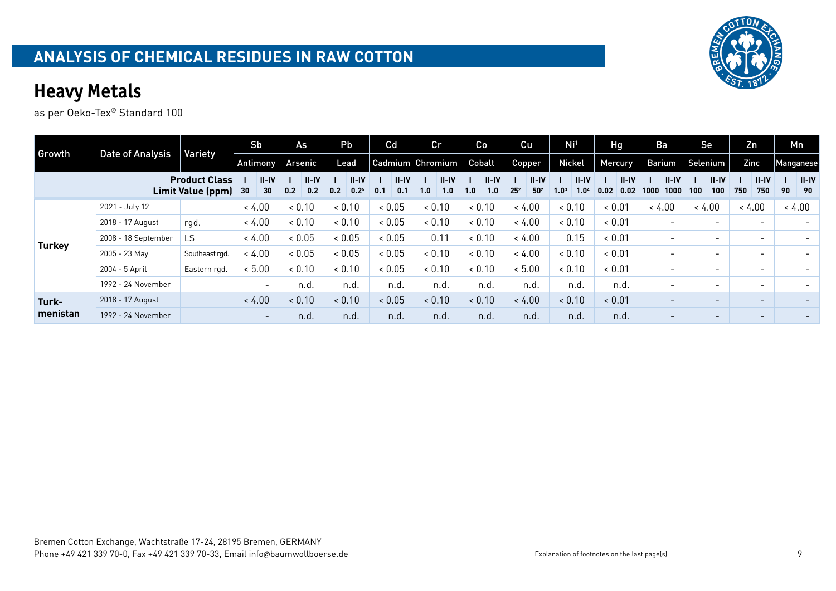

| Growth        |                     | Variety                                   | S <sub>b</sub>                                  | As                      | Pb                                   | Cd                      | cr                      | Co                      | Cu                                       | Ni <sup>1</sup>                                   | Hg                        | Ba                        | Se                       | Zn                       | Mn                    |
|---------------|---------------------|-------------------------------------------|-------------------------------------------------|-------------------------|--------------------------------------|-------------------------|-------------------------|-------------------------|------------------------------------------|---------------------------------------------------|---------------------------|---------------------------|--------------------------|--------------------------|-----------------------|
|               | Date of Analysis    |                                           | Antimony                                        | Arsenic                 | Lead                                 |                         | Cadmium Chromium        | Cobalt                  | Copper                                   | Nickel                                            | <b>Mercury</b>            | Barium                    | Selenium                 | Zinc                     | Manganese             |
|               |                     | <b>Product Class</b><br>Limit Value (ppm) | $II - IV$<br>30 <sub>2</sub><br>30 <sub>2</sub> | $II - IV$<br>0.2<br>0.2 | $II - IV$<br>0.2 <sup>5</sup><br>0.2 | $II - IV$<br>0.1<br>0.1 | $II - IV$<br>1.0<br>1.0 | $II - IV$<br>1.0<br>1.0 | $II - IV$<br>50 <sup>2</sup><br>$25^{2}$ | $II - IV$<br>1.0 <sup>4</sup><br>1.0 <sup>3</sup> | $II - IV$<br>0.02<br>0.02 | $II - IV$<br>1000<br>1000 | $II-IV$<br>100<br>100    | $II - IV$<br>750<br>750  | $II - IV$<br>90<br>90 |
|               | 2021 - July 12      |                                           | < 4.00                                          | 0.10                    | 0.10                                 | < 0.05                  | < 0.10                  | < 0.10                  | < 4.00                                   | 0.10                                              | & 0.01                    | < 4.00                    | < 4.00                   | < 4.00                   | < 4.00                |
|               | 2018 - 17 August    | rgd.                                      | < 4.00                                          | < 0.10                  | < 0.10                               | & 0.05                  | < 0.10                  | < 0.10                  | < 4.00                                   | 0.10                                              | & 0.01                    | $\overline{\phantom{0}}$  | $\overline{\phantom{0}}$ | $\overline{\phantom{0}}$ |                       |
| <b>Turkey</b> | 2008 - 18 September | <b>LS</b>                                 | < 4.00                                          | 0.05                    | & 0.05                               | < 0.05                  | 0.11                    | < 0.10                  | < 4.00                                   | 0.15                                              | & 0.01                    | $\overline{\phantom{0}}$  | $\overline{\phantom{0}}$ | $\overline{\phantom{0}}$ |                       |
|               | 2005 - 23 May       | Southeast rgd.                            | < 4.00                                          | 0.05                    | & 0.05                               | & 0.05                  | < 0.10                  | < 0.10                  | < 4.00                                   | 0.10                                              | & 0.01                    | $\overline{\phantom{0}}$  | $\overline{\phantom{0}}$ | $\overline{\phantom{a}}$ |                       |
|               | 2004 - 5 April      | Eastern rgd.                              | < 5.00                                          | < 0.10                  | < 0.10                               | & 0.05                  | < 0.10                  | < 0.10                  | < 5.00                                   | 0.10                                              | & 0.01                    | $\overline{\phantom{0}}$  | $\overline{\phantom{0}}$ | $\overline{\phantom{0}}$ |                       |
|               | 1992 - 24 November  |                                           | $\sim$                                          | n.d.                    | n.d.                                 | n.d.                    | n.d.                    | n.d.                    | n.d.                                     | n.d.                                              | n.d.                      | -                         | $\overline{\phantom{a}}$ | $\overline{\phantom{0}}$ |                       |
| Turk-         | 2018 - 17 August    |                                           | < 4.00                                          | < 0.10                  | 0.10                                 | < 0.05                  | 0.10                    | 0.10                    | < 4.00                                   | 0.10                                              | < 0.01                    | $\overline{\phantom{0}}$  | $\overline{\phantom{0}}$ | $\overline{\phantom{0}}$ |                       |
| menistan      | 1992 - 24 November  |                                           | $\sim$                                          | n.d.                    | n.d.                                 | n.d.                    | n.d.                    | n.d.                    | n.d.                                     | n.d.                                              | n.d.                      | $\overline{\phantom{0}}$  | $\overline{\phantom{a}}$ | $\overline{\phantom{a}}$ |                       |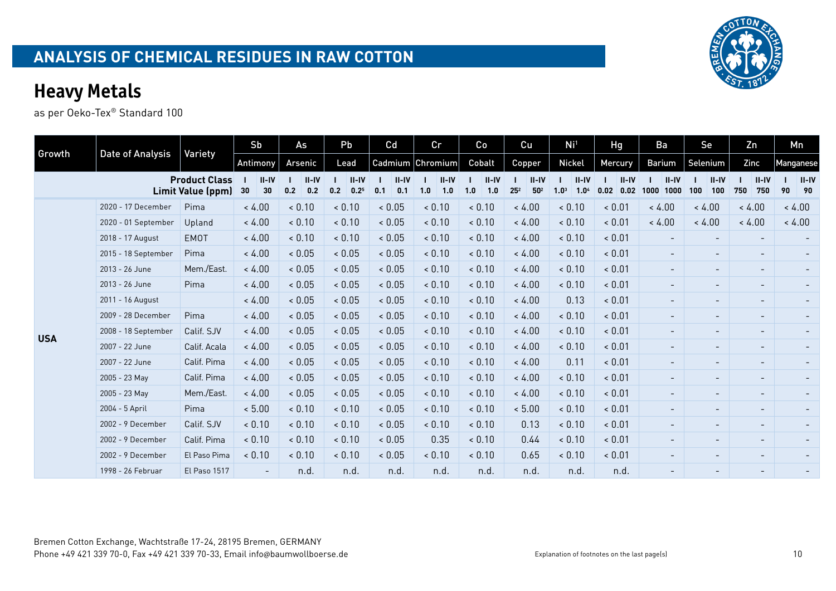|            |                     |                                           | Sb                    | As                    | Pb                                   | Cd                      | cr                      | Co                      | Cu                                   | Ni <sup>1</sup>                                 | Hg                      | Ba                       | Se                       | Zn                       | Mn        |               |
|------------|---------------------|-------------------------------------------|-----------------------|-----------------------|--------------------------------------|-------------------------|-------------------------|-------------------------|--------------------------------------|-------------------------------------------------|-------------------------|--------------------------|--------------------------|--------------------------|-----------|---------------|
| Growth     | Date of Analysis    | Variety                                   | <b>Antimony</b>       | Arsenic               | Lead                                 |                         | Cadmium Chromium        | Cobalt                  | Copper                               | Nickel                                          | Mercury                 | Barium                   | Selenium                 | Zinc                     | Manganese |               |
|            |                     | <b>Product Class</b><br>Limit Value (ppm) | $II - IV$<br>30<br>30 | $II-IV$<br>0.2<br>0.2 | $II - IV$<br>0.2 <sup>5</sup><br>0.2 | $II - IV$<br>0.1<br>0.1 | $II - IV$<br>1.0<br>1.0 | $II - IV$<br>1.0<br>1.0 | $II-IV$<br>$25^2$<br>50 <sup>2</sup> | $II-IV$<br>1.0 <sup>3</sup><br>1.0 <sup>4</sup> | $II-IV$<br>0.02<br>0.02 | $II-IV$<br>1000<br>1000  | $II-IV$<br>100<br>100    | $II-IV$<br>750<br>750    | 90        | $II-IV$<br>90 |
|            | 2020 - 17 December  | Pima                                      | < 4.00                | < 0.10                | < 0.10                               | < 0.05                  | < 0.10                  | 0.10                    | < 4.00                               | < 0.10                                          | < 0.01                  | < 4.00                   | < 4.00                   | < 4.00                   | < 4.00    |               |
|            | 2020 - 01 September | Upland                                    | < 4.00                | < 0.10                | < 0.10                               | < 0.05                  | < 0.10                  | < 0.10                  | < 4.00                               | < 0.10                                          | ~< 0.01                 | < 4.00                   | < 4.00                   | < 4.00                   | < 4.00    |               |
|            | 2018 - 17 August    | <b>EMOT</b>                               | < 4.00                | < 0.10                | < 0.10                               | < 0.05                  | < 0.10                  | < 0.10                  | < 4.00                               | < 0.10                                          | < 0.01                  |                          |                          | $\overline{\phantom{a}}$ |           |               |
|            | 2015 - 18 September | Pima                                      | < 4.00                | 0.05                  | ${}< 0.05$                           | < 0.05                  | < 0.10                  | < 0.10                  | < 4.00                               | < 0.10                                          | < 0.01                  | $-$                      | $\overline{\phantom{a}}$ | $\overline{\phantom{a}}$ |           |               |
|            | 2013 - 26 June      | Mem./East.                                | < 4.00                | < 0.05                | < 0.05                               | < 0.05                  | < 0.10                  | < 0.10                  | < 4.00                               | < 0.10                                          | < 0.01                  | $\overline{\phantom{0}}$ | $\overline{\phantom{0}}$ | $\overline{\phantom{a}}$ |           |               |
|            | 2013 - 26 June      | Pima                                      | < 4.00                | 0.05                  | < 0.05                               | < 0.05                  | < 0.10                  | < 0.10                  | < 4.00                               | < 0.10                                          | < 0.01                  | $\overline{\phantom{0}}$ | $\overline{\phantom{0}}$ | $\overline{\phantom{a}}$ |           |               |
|            | 2011 - 16 August    |                                           | < 4.00                | < 0.05                | < 0.05                               | < 0.05                  | < 0.10                  | 0.10                    | < 4.00                               | 0.13                                            | < 0.01                  | $\sim$                   | $\overline{\phantom{a}}$ | $\overline{\phantom{a}}$ |           |               |
|            | 2009 - 28 December  | Pima                                      | < 4.00                | < 0.05                | < 0.05                               | < 0.05                  | < 0.10                  | < 0.10                  | < 4.00                               | < 0.10                                          | < 0.01                  | $\overline{\phantom{a}}$ | $\overline{\phantom{a}}$ | $\overline{\phantom{a}}$ |           | $\sim$        |
| <b>USA</b> | 2008 - 18 September | Calif. SJV                                | < 4.00                | < 0.05                | < 0.05                               | < 0.05                  | < 0.10                  | < 0.10                  | < 4.00                               | < 0.10                                          | < 0.01                  | $\sim$                   | $\overline{\phantom{a}}$ | $\overline{\phantom{a}}$ |           |               |
|            | 2007 - 22 June      | Calif. Acala                              | < 4.00                | < 0.05                | < 0.05                               | < 0.05                  | < 0.10                  | 0.10                    | < 4.00                               | < 0.10                                          | < 0.01                  | $\overline{\phantom{0}}$ | $\overline{\phantom{a}}$ | $\overline{\phantom{a}}$ |           |               |
|            | 2007 - 22 June      | Calif. Pima                               | < 4.00                | & 0.05                | < 0.05                               | < 0.05                  | < 0.10                  | < 0.10                  | < 4.00                               | 0.11                                            | < 0.01                  | $\overline{\phantom{a}}$ | $\overline{\phantom{0}}$ | $\overline{\phantom{a}}$ |           |               |
|            | 2005 - 23 May       | Calif. Pima                               | < 4.00                | < 0.05                | < 0.05                               | < 0.05                  | < 0.10                  | < 0.10                  | < 4.00                               | < 0.10                                          | < 0.01                  | $\overline{\phantom{0}}$ | $\overline{\phantom{0}}$ | $\overline{\phantom{a}}$ |           |               |
|            | 2005 - 23 May       | Mem./East.                                | < 4.00                | < 0.05                | < 0.05                               | < 0.05                  | < 0.10                  | < 0.10                  | < 4.00                               | < 0.10                                          | < 0.01                  | $\overline{\phantom{a}}$ | $\overline{\phantom{a}}$ | $\overline{\phantom{a}}$ |           | $\sim$        |
|            | 2004 - 5 April      | Pima                                      | < 5.00                | < 0.10                | < 0.10                               | < 0.05                  | < 0.10                  | < 0.10                  | < 5.00                               | < 0.10                                          | < 0.01                  |                          | $\overline{\phantom{0}}$ | $\overline{\phantom{a}}$ |           |               |
|            | 2002 - 9 December   | Calif. SJV                                | < 0.10                | 0.10                  | 0.10                                 | < 0.05                  | < 0.10                  | 0.10                    | 0.13                                 | < 0.10                                          | < 0.01                  | $\overline{\phantom{0}}$ | $\overline{\phantom{a}}$ | $\overline{\phantom{a}}$ |           |               |
|            | 2002 - 9 December   | Calif. Pima                               | < 0.10                | < 0.10                | < 0.10                               | < 0.05                  | 0.35                    | 0.10                    | 0.44                                 | < 0.10                                          | < 0.01                  | $\overline{\phantom{0}}$ | $\overline{\phantom{a}}$ | $\overline{\phantom{a}}$ |           |               |
|            | 2002 - 9 December   | El Paso Pima                              | < 0.10                | < 0.10                | < 0.10                               | < 0.05                  | < 0.10                  | 0.10                    | 0.65                                 | < 0.10                                          | < 0.01                  | $\overline{\phantom{0}}$ | $\overline{\phantom{0}}$ | $\overline{\phantom{a}}$ |           |               |
|            | 1998 - 26 Februar   | El Paso 1517                              | $\blacksquare$        | n.d.                  | n.d.                                 | n.d.                    | n.d.                    | n.d.                    | n.d.                                 | n.d.                                            | n.d.                    |                          | $\qquad \qquad$          |                          |           |               |

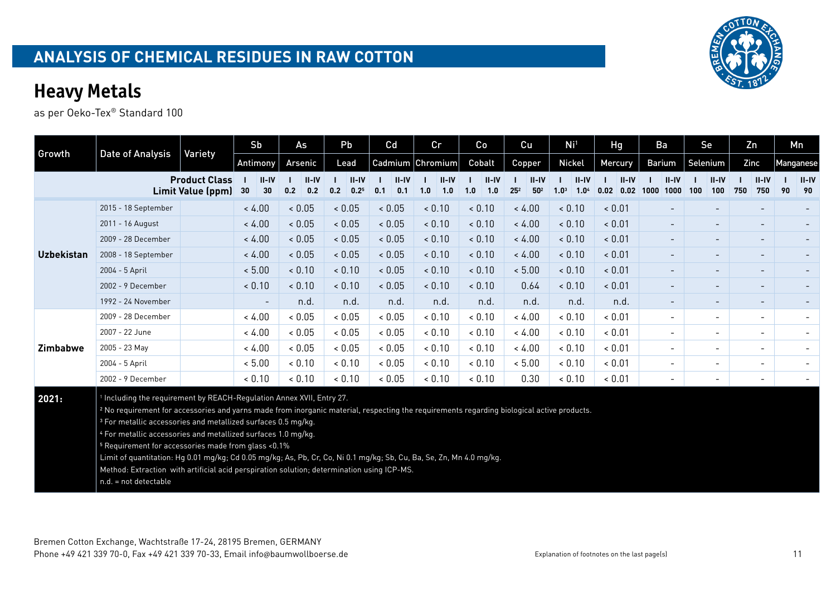as per Oeko-Tex® Standard 100

|                   |                                                                                                                                                                                                                                                                                                                                                                           |                                           | Sb                       | As                      | Pb                                   | Cd                    | cr                      | Co                      | Cu                                     | Ni <sup>1</sup>                                 | Hg                        | Ba                       | Se                       | Zn                       | Mn                  |
|-------------------|---------------------------------------------------------------------------------------------------------------------------------------------------------------------------------------------------------------------------------------------------------------------------------------------------------------------------------------------------------------------------|-------------------------------------------|--------------------------|-------------------------|--------------------------------------|-----------------------|-------------------------|-------------------------|----------------------------------------|-------------------------------------------------|---------------------------|--------------------------|--------------------------|--------------------------|---------------------|
| Growth            | Date of Analysis                                                                                                                                                                                                                                                                                                                                                          | Variety                                   | Antimony                 | Arsenic                 | Lead                                 |                       | Cadmium Chromium        | Cobalt                  | <b>Copper</b>                          | Nickel                                          | Mercury                   | <b>Barium</b>            | Selenium                 | Zinc                     | Manganese           |
|                   |                                                                                                                                                                                                                                                                                                                                                                           | <b>Product Class</b><br>Limit Value (ppm) | $II - IV$<br>30<br>30    | $II - IV$<br>0.2<br>0.2 | $II - IV$<br>0.2<br>0.2 <sup>5</sup> | $II-IV$<br>0.1<br>0.1 | $II - IV$<br>1.0<br>1.0 | $II - IV$<br>1.0<br>1.0 | $II-IV$<br>50 <sup>2</sup><br>$25^{2}$ | $II-IV$<br>1.0 <sup>3</sup><br>1.0 <sup>4</sup> | $II - IV$<br>0.02<br>0.02 | $II-IV$<br>1000<br>1000  | $II-IV$<br>100<br>100    | $II-IV$<br>750<br>750    | $II-IV$<br>90<br>90 |
|                   | 2015 - 18 September                                                                                                                                                                                                                                                                                                                                                       |                                           | < 4.00                   | < 0.05                  | < 0.05                               | < 0.05                | < 0.10                  | < 0.10                  | < 4.00                                 | < 0.10                                          | < 0.01                    |                          |                          |                          |                     |
|                   | 2011 - 16 August                                                                                                                                                                                                                                                                                                                                                          |                                           | < 4.00                   | < 0.05                  | 0.05                                 | < 0.05                | < 0.10                  | < 0.10                  | < 4.00                                 | < 0.10                                          | < 0.01                    | $\overline{\phantom{0}}$ | $\overline{\phantom{a}}$ | $\overline{\phantom{a}}$ |                     |
|                   | 2009 - 28 December                                                                                                                                                                                                                                                                                                                                                        |                                           | < 4.00                   | < 0.05                  | < 0.05                               | < 0.05                | < 0.10                  | < 0.10                  | < 4.00                                 | < 0.10                                          | < 0.01                    | $\overline{\phantom{0}}$ |                          | $\overline{\phantom{a}}$ |                     |
| <b>Uzbekistan</b> | 2008 - 18 September                                                                                                                                                                                                                                                                                                                                                       |                                           | < 4.00                   | < 0.05                  | < 0.05                               | < 0.05                | < 0.10                  | < 0.10                  | < 4.00                                 | < 0.10                                          | < 0.01                    | $\overline{\phantom{0}}$ |                          | $\overline{\phantom{a}}$ |                     |
|                   | 2004 - 5 April                                                                                                                                                                                                                                                                                                                                                            |                                           | < 5.00                   | < 0.10                  | < 0.10                               | < 0.05                | < 0.10                  | < 0.10                  | < 5.00                                 | < 0.10                                          | < 0.01                    | $\overline{\phantom{0}}$ |                          | $\overline{\phantom{a}}$ |                     |
|                   | 2002 - 9 December                                                                                                                                                                                                                                                                                                                                                         |                                           | < 0.10                   | < 0.10                  | < 0.10                               | < 0.05                | < 0.10                  | < 0.10                  | 0.64                                   | < 0.10                                          | < 0.01                    | $\overline{\phantom{0}}$ |                          | $\overline{\phantom{a}}$ |                     |
|                   | 1992 - 24 November                                                                                                                                                                                                                                                                                                                                                        |                                           | $\overline{\phantom{a}}$ | n.d.                    | n.d.                                 | n.d.                  | n.d.                    | n.d.                    | n.d.                                   | n.d.                                            | n.d.                      | $\sim$                   | $\overline{\phantom{a}}$ | $\overline{\phantom{a}}$ |                     |
|                   | 2009 - 28 December                                                                                                                                                                                                                                                                                                                                                        |                                           | < 4.00                   | & 0.05                  | < 0.05                               | ${}< 0.05$            | < 0.10                  | & 0.10                  | < 4.00                                 | < 0.10                                          | & 0.01                    | $\overline{\phantom{0}}$ | $\overline{\phantom{a}}$ | $\overline{\phantom{a}}$ |                     |
|                   | 2007 - 22 June                                                                                                                                                                                                                                                                                                                                                            |                                           | < 4.00                   | & 0.05                  | ${}< 0.05$                           | ${}< 0.05$            | < 0.10                  | & 0.10                  | < 4.00                                 | & 0.10                                          | & 0.01                    | $\overline{\phantom{0}}$ | $\overline{\phantom{a}}$ | $\overline{\phantom{a}}$ |                     |
| <b>Zimbabwe</b>   | 2005 - 23 May                                                                                                                                                                                                                                                                                                                                                             |                                           | < 4.00                   | & 0.05                  | < 0.05                               | ${}< 0.05$            | < 0.10                  | & 0.10                  | < 4.00                                 | & 0.10                                          | & 0.01                    | $\overline{\phantom{0}}$ | $\overline{\phantom{a}}$ | $\overline{\phantom{a}}$ |                     |
|                   | 2004 - 5 April                                                                                                                                                                                                                                                                                                                                                            |                                           | < 5.00                   | < 0.10                  | < 0.10                               | ${}< 0.05$            | < 0.10                  | < 0.10                  | < 5.00                                 | < 0.10                                          | & 0.01                    | $\overline{\phantom{0}}$ | $\overline{\phantom{a}}$ | $\overline{\phantom{a}}$ |                     |
|                   | 2002 - 9 December                                                                                                                                                                                                                                                                                                                                                         |                                           | & 0.10                   | & 0.10                  | < 0.10                               | ${}< 0.05$            | < 0.10                  | < 0.10                  | 0.30                                   | < 0.10                                          | & 0.01                    | -                        | $\overline{\phantom{a}}$ | $\overline{\phantom{a}}$ |                     |
| 2021:             | Including the requirement by REACH-Regulation Annex XVII, Entry 27.<br><sup>2</sup> No requirement for accessories and yarns made from inorganic material, respecting the requirements regarding biological active products.<br><sup>3</sup> For metallic accessories and metallized surfaces 0.5 mg/kg.<br>4 For metallic accessories and metallized surfaces 1.0 mg/kg. |                                           |                          |                         |                                      |                       |                         |                         |                                        |                                                 |                           |                          |                          |                          |                     |

5 Requirement for accessories made from glass <0.1%

Limit of quantitation: Hg 0.01 mg/kg; Cd 0.05 mg/kg; As, Pb, Cr, Co, Ni 0.1 mg/kg; Sb, Cu, Ba, Se, Zn, Mn 4.0 mg/kg.

Method: Extraction with artificial acid perspiration solution; determination using ICP-MS.

n.d. = not detectable